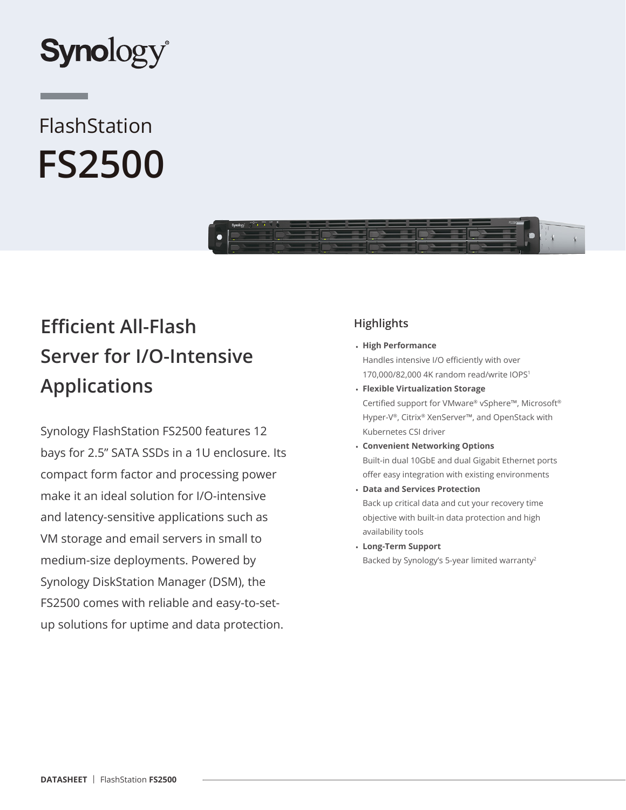

# FlashStation **FS2500**



## **Efficient All-Flash Server for I/O-Intensive Applications**

Synology FlashStation FS2500 features 12 bays for 2.5" SATA SSDs in a 1U enclosure. Its compact form factor and processing power make it an ideal solution for I/O-intensive and latency-sensitive applications such as VM storage and email servers in small to medium-size deployments. Powered by Synology DiskStation Manager (DSM), the FS2500 comes with reliable and easy-to-setup solutions for uptime and data protection.

## **Highlights**

#### • **High Performance**

Handles intensive I/O efficiently with over 170,000/82,000 4K random read/write IOPS<sup>1</sup>

- **Flexible Virtualization Storage** Certified support for VMware® vSphere™, Microsoft® Hyper-V®, Citrix® XenServer™, and OpenStack with Kubernetes CSI driver
- **Convenient Networking Options** Built-in dual 10GbE and dual Gigabit Ethernet ports offer easy integration with existing environments
- **Data and Services Protection** Back up critical data and cut your recovery time objective with built-in data protection and high availability tools
- **Long-Term Support** Backed by Synology's 5-year limited warranty<sup>2</sup>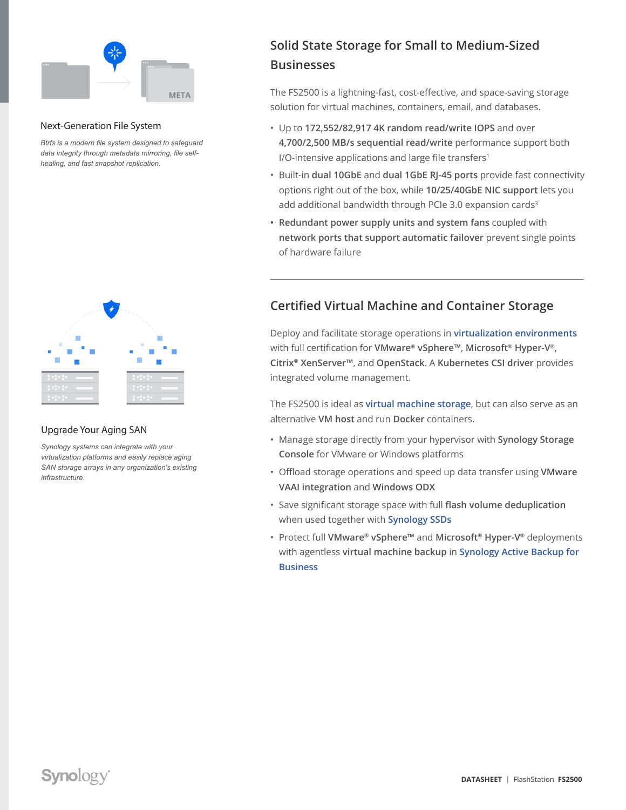

#### Next-Generation File System

*Btrfs is a modern file system designed to safeguard data integrity through metadata mirroring, file selfhealing, and fast snapshot replication.*



#### Upgrade Your Aging SAN

*Synology systems can integrate with your virtualization platforms and easily replace aging SAN storage arrays in any organization's existing infrastructure.*

## **Solid State Storage for Small to Medium-Sized Businesses**

The FS2500 is a lightning-fast, cost-effective, and space-saving storage solution for virtual machines, containers, email, and databases.

- Up to **172,552/82,917 4K random read/write IOPS** and over **4,700/2,500 MB/s sequential read/write** performance support both I/O-intensive applications and large file transfers<sup>1</sup>
- Built-in **dual 10GbE** and **dual 1GbE RJ-45 ports** provide fast connectivity options right out of the box, while **10/25/40GbE NIC support** lets you add additional bandwidth through PCIe 3.0 expansion cards<sup>3</sup>
- **• Redundant power supply units and system fans** coupled with **network ports that support automatic failover** prevent single points of hardware failure

## **Certified Virtual Machine and Container Storage**

Deploy and facilitate storage operations in **[virtualization environments](https://sy.to/fs2500dsvirtual)** with full certification for **VMware® vSphere™**, **Microsoft® Hyper-V®**, **Citrix® XenServer™**, and **OpenStack**. A **Kubernetes CSI driver** provides integrated volume management.

The FS2500 is ideal as **[virtual machine storage](https://sy.to/fs2500dssfv)**, but can also serve as an alternative **VM host** and run **Docker** containers.

- Manage storage directly from your hypervisor with **Synology Storage Console** for VMware or Windows platforms
- Offload storage operations and speed up data transfer using **VMware VAAI integration** and **Windows ODX**
- Save significant storage space with full **flash volume deduplication** when used together with **[Synology SSDs](https://sy.to/fs2500dssat5200)**
- Protect full **VMware® vSphere™** and **Microsoft® Hyper-V®** deployments with agentless **virtual machine backup** in **[Synology Active Backup for](https://sy.to/fs2500dsabb)  [Business](https://sy.to/fs2500dsabb)**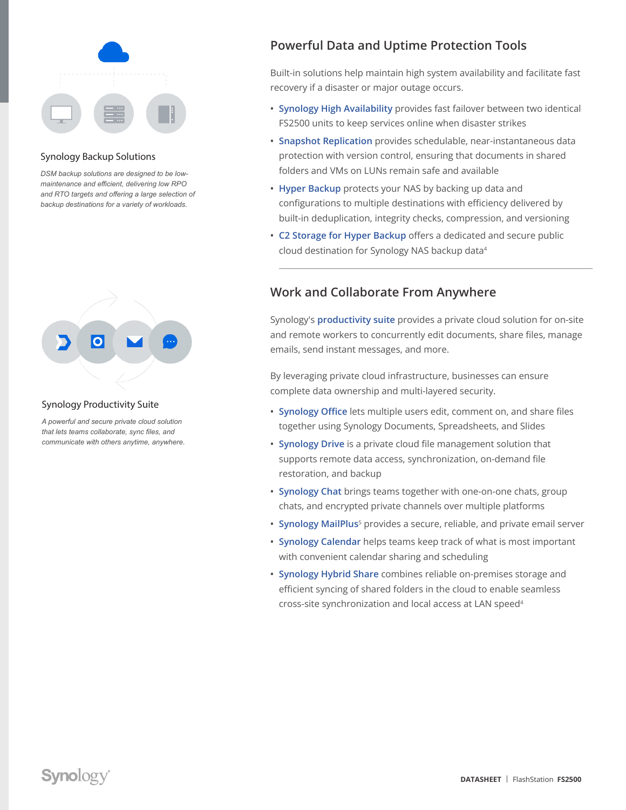

#### Synology Backup Solutions

*DSM backup solutions are designed to be lowmaintenance and efficient, delivering low RPO and RTO targets and offering a large selection of backup destinations for a variety of workloads.*



#### Synology Productivity Suite

*A powerful and secure private cloud solution that lets teams collaborate, sync files, and communicate with others anytime, anywhere.*

## **Powerful Data and Uptime Protection Tools**

Built-in solutions help maintain high system availability and facilitate fast recovery if a disaster or major outage occurs.

- **• [Synology High Availability](https://sy.to/fs2500dssha)** provides fast failover between two identical FS2500 units to keep services online when disaster strikes
- **• [Snapshot Replication](https://sy.to/fs2500dssr)** provides schedulable, near-instantaneous data protection with version control, ensuring that documents in shared folders and VMs on LUNs remain safe and available
- **• [Hyper Backup](https://sy.to/fs2500dshb)** protects your NAS by backing up data and configurations to multiple destinations with efficiency delivered by built-in deduplication, integrity checks, compression, and versioning
- **• [C2 Storage for Hyper Backup](https://sy.to/fs2500dsc2stor)** offers a dedicated and secure public cloud destination for Synology NAS backup data<sup>4</sup>

## **Work and Collaborate From Anywhere**

Synology's **[productivity suite](https://sy.to/fs2500dsprodsol)** provides a private cloud solution for on-site and remote workers to concurrently edit documents, share files, manage emails, send instant messages, and more.

By leveraging private cloud infrastructure, businesses can ensure complete data ownership and multi-layered security.

- **• [Synology Office](https://sy.to/fs2500dsso)** lets multiple users edit, comment on, and share files together using Synology Documents, Spreadsheets, and Slides
- **• [Synology Drive](https://sy.to/fs2500dssd)** is a private cloud file management solution that supports remote data access, synchronization, on-demand file restoration, and backup
- **• [Synology Chat](https://sy.to/fs2500dssc)** brings teams together with one-on-one chats, group chats, and encrypted private channels over multiple platforms
- **• [Synology MailPlus](https://sy.to/fs2500dssmp)**<sup>5</sup> provides a secure, reliable, and private email server
- **• [Synology Calendar](https://sy.to/fs2500dsscal)** helps teams keep track of what is most important with convenient calendar sharing and scheduling
- **• [Synology Hybrid Share](https://sy.to/fs2500dshs)** combines reliable on-premises storage and efficient syncing of shared folders in the cloud to enable seamless cross-site synchronization and local access at LAN speed<sup>4</sup>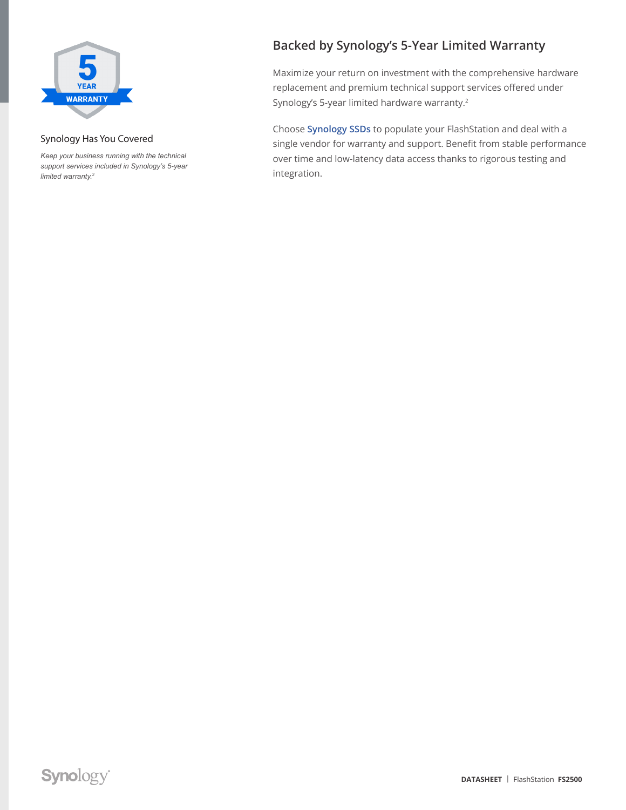

#### Synology Has You Covered

*Keep your business running with the technical support services included in Synology's 5-year limited warranty.2*

## **Backed by Synology's 5-Year Limited Warranty**

Maximize your return on investment with the comprehensive hardware replacement and premium technical support services offered under Synology's 5-year limited hardware warranty.<sup>2</sup>

Choose **[Synology SSDs](https://sy.to/fs2500dssat5200)** to populate your FlashStation and deal with a single vendor for warranty and support. Benefit from stable performance over time and low-latency data access thanks to rigorous testing and integration.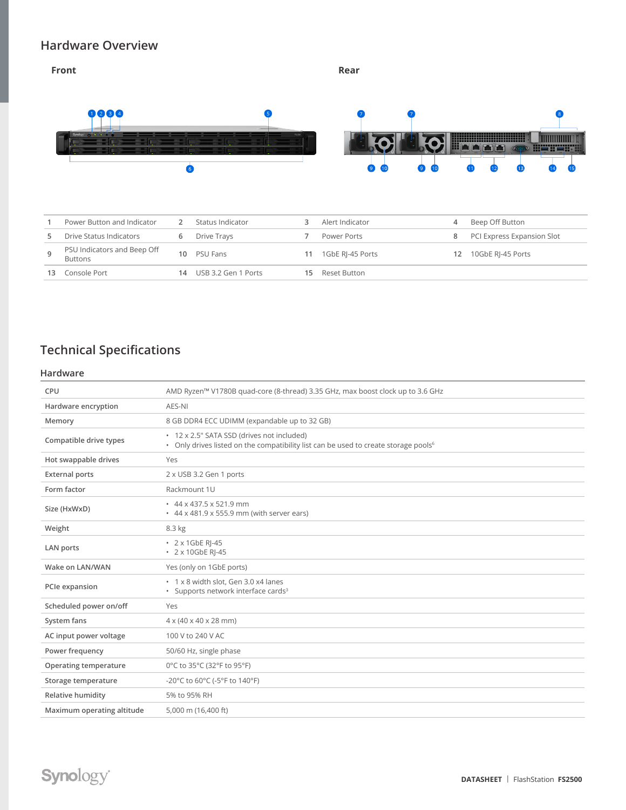### **Hardware Overview**

#### **Front** Rear **Rear** 0060 6 8 7 <u>ing da</u> i Timmuni<br>» Nerren, i  $\overline{\bullet}$  $\bullet$   $\bullet$ Ò  $\overline{\mathbf{10}}$  $\bullet$ Ó  $\bullet$ 12

| Power Button and Indicator                    |    | Status Indicator    |    | Alert Indicator  |     | Beep Off Button            |
|-----------------------------------------------|----|---------------------|----|------------------|-----|----------------------------|
| Drive Status Indicators                       |    | Drive Trays         |    | Power Ports      | 8   | PCI Express Expansion Slot |
| PSU Indicators and Beep Off<br><b>Buttons</b> |    | 10 PSU Fans         | 11 | 1GbE RI-45 Ports | 12. | 10GbE RI-45 Ports          |
| Console Port                                  | 14 | USB 3.2 Gen 1 Ports | 15 | Reset Button     |     |                            |

## **Technical Specifications**

#### **Hardware**

| CPU                        | AMD Ryzen™ V1780B quad-core (8-thread) 3.35 GHz, max boost clock up to 3.6 GHz                                                                |
|----------------------------|-----------------------------------------------------------------------------------------------------------------------------------------------|
| Hardware encryption        | AES-NI                                                                                                                                        |
| Memory                     | 8 GB DDR4 ECC UDIMM (expandable up to 32 GB)                                                                                                  |
| Compatible drive types     | • 12 x 2.5" SATA SSD (drives not included)<br>• Only drives listed on the compatibility list can be used to create storage pools <sup>6</sup> |
| Hot swappable drives       | Yes                                                                                                                                           |
| <b>External ports</b>      | 2 x USB 3.2 Gen 1 ports                                                                                                                       |
| Form factor                | Rackmount 1U                                                                                                                                  |
| Size (HxWxD)               | $\cdot$ 44 x 437.5 x 521.9 mm<br>$\cdot$ 44 x 481.9 x 555.9 mm (with server ears)                                                             |
| Weight                     | 8.3 kg                                                                                                                                        |
| LAN ports                  | • 2 x 1GbE RI-45<br>• 2 x 10GbE RI-45                                                                                                         |
| Wake on LAN/WAN            | Yes (only on 1GbE ports)                                                                                                                      |
| PCIe expansion             | * 1 x 8 width slot, Gen 3.0 x4 lanes<br>• Supports network interface cards <sup>3</sup>                                                       |
| Scheduled power on/off     | Yes                                                                                                                                           |
| System fans                | $4 \times (40 \times 40 \times 28 \text{ mm})$                                                                                                |
| AC input power voltage     | 100 V to 240 V AC                                                                                                                             |
| Power frequency            | 50/60 Hz, single phase                                                                                                                        |
| Operating temperature      | 0°C to 35°C (32°F to 95°F)                                                                                                                    |
| Storage temperature        | -20°C to 60°C (-5°F to 140°F)                                                                                                                 |
| Relative humidity          | 5% to 95% RH                                                                                                                                  |
| Maximum operating altitude | 5,000 m (16,400 ft)                                                                                                                           |

## **Synology®**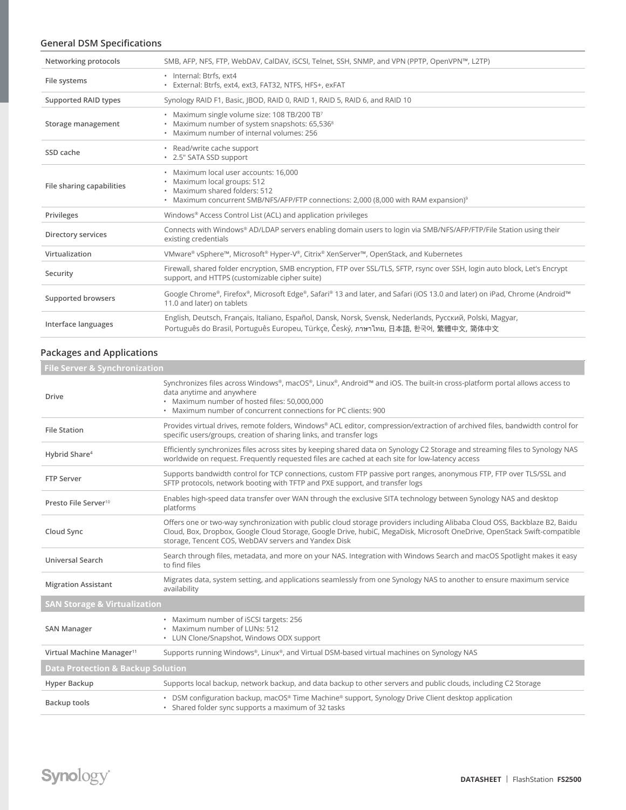#### **General DSM Specifications**

| Networking protocols      | SMB, AFP, NFS, FTP, WebDAV, CalDAV, iSCSI, Telnet, SSH, SNMP, and VPN (PPTP, OpenVPN™, L2TP)                                                                                                             |
|---------------------------|----------------------------------------------------------------------------------------------------------------------------------------------------------------------------------------------------------|
| File systems              | · Internal: Btrfs. ext4<br>· External: Btrfs, ext4, ext3, FAT32, NTFS, HFS+, exFAT                                                                                                                       |
| Supported RAID types      | Synology RAID F1, Basic, (BOD, RAID 0, RAID 1, RAID 5, RAID 6, and RAID 10                                                                                                                               |
| Storage management        | · Maximum single volume size: 108 TB/200 TB7<br>• Maximum number of system snapshots: 65,5368<br>· Maximum number of internal volumes: 256                                                               |
| SSD cache                 | • Read/write cache support<br>• 2.5" SATA SSD support                                                                                                                                                    |
| File sharing capabilities | · Maximum local user accounts: 16,000<br>· Maximum local groups: 512<br>· Maximum shared folders: 512<br>• Maximum concurrent SMB/NFS/AFP/FTP connections: 2,000 (8,000 with RAM expansion) <sup>9</sup> |
| Privileges                | Windows <sup>®</sup> Access Control List (ACL) and application privileges                                                                                                                                |
| Directory services        | Connects with Windows® AD/LDAP servers enabling domain users to login via SMB/NFS/AFP/FTP/File Station using their<br>existing credentials                                                               |
| Virtualization            | VMware® vSphere™, Microsoft® Hyper-V®, Citrix® XenServer™, OpenStack, and Kubernetes                                                                                                                     |
| Security                  | Firewall, shared folder encryption, SMB encryption, FTP over SSL/TLS, SFTP, rsync over SSH, login auto block, Let's Encrypt<br>support, and HTTPS (customizable cipher suite)                            |
| Supported browsers        | Google Chrome®, Firefox®, Microsoft Edge®, Safari® 13 and later, and Safari (iOS 13.0 and later) on iPad, Chrome (Android™<br>11.0 and later) on tablets                                                 |
| Interface languages       | English, Deutsch, Français, Italiano, Español, Dansk, Norsk, Svensk, Nederlands, Русский, Polski, Magyar,<br>Português do Brasil, Português Europeu, Türkçe, Český, ภาษาไทย, 日本語, 한국어, 繁體中文, 简体中文        |

#### **Packages and Applications**

| <b>File Server &amp; Synchronization</b>                                                                                                                                                                                                                                                                       |  |  |  |  |
|----------------------------------------------------------------------------------------------------------------------------------------------------------------------------------------------------------------------------------------------------------------------------------------------------------------|--|--|--|--|
| Synchronizes files across Windows®, macOS®, Linux®, Android™ and iOS. The built-in cross-platform portal allows access to<br>data anytime and anywhere<br>· Maximum number of hosted files: 50,000,000<br>• Maximum number of concurrent connections for PC clients: 900                                       |  |  |  |  |
| Provides virtual drives, remote folders, Windows® ACL editor, compression/extraction of archived files, bandwidth control for<br>specific users/groups, creation of sharing links, and transfer logs                                                                                                           |  |  |  |  |
| Efficiently synchronizes files across sites by keeping shared data on Synology C2 Storage and streaming files to Synology NAS<br>worldwide on request. Frequently requested files are cached at each site for low-latency access                                                                               |  |  |  |  |
| Supports bandwidth control for TCP connections, custom FTP passive port ranges, anonymous FTP, FTP over TLS/SSL and<br>SFTP protocols, network booting with TFTP and PXE support, and transfer logs                                                                                                            |  |  |  |  |
| Enables high-speed data transfer over WAN through the exclusive SITA technology between Synology NAS and desktop<br>platforms                                                                                                                                                                                  |  |  |  |  |
| Offers one or two-way synchronization with public cloud storage providers including Alibaba Cloud OSS, Backblaze B2, Baidu<br>Cloud, Box, Dropbox, Google Cloud Storage, Google Drive, hubiC, MegaDisk, Microsoft OneDrive, OpenStack Swift-compatible<br>storage, Tencent COS, WebDAV servers and Yandex Disk |  |  |  |  |
| Search through files, metadata, and more on your NAS. Integration with Windows Search and macOS Spotlight makes it easy<br>to find files                                                                                                                                                                       |  |  |  |  |
| Migrates data, system setting, and applications seamlessly from one Synology NAS to another to ensure maximum service<br>availability                                                                                                                                                                          |  |  |  |  |
| <b>SAN Storage &amp; Virtualization</b>                                                                                                                                                                                                                                                                        |  |  |  |  |
| • Maximum number of iSCSI targets: 256<br>• Maximum number of LUNs: 512<br>• LUN Clone/Snapshot, Windows ODX support                                                                                                                                                                                           |  |  |  |  |
| Supports running Windows®, Linux®, and Virtual DSM-based virtual machines on Synology NAS                                                                                                                                                                                                                      |  |  |  |  |
| <b>Data Protection &amp; Backup Solution</b>                                                                                                                                                                                                                                                                   |  |  |  |  |
| Supports local backup, network backup, and data backup to other servers and public clouds, including C2 Storage                                                                                                                                                                                                |  |  |  |  |
| • DSM configuration backup, macOS® Time Machine® support, Synology Drive Client desktop application<br>• Shared folder sync supports a maximum of 32 tasks                                                                                                                                                     |  |  |  |  |
|                                                                                                                                                                                                                                                                                                                |  |  |  |  |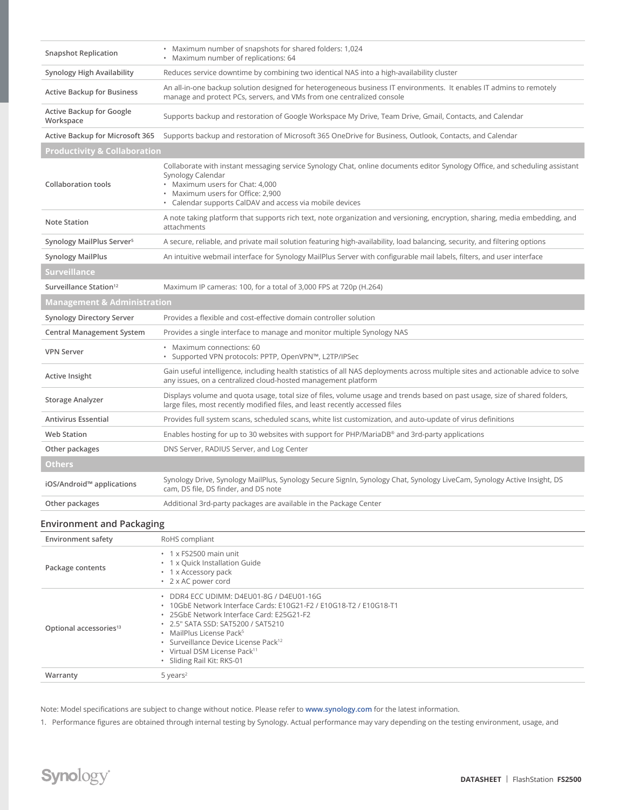| <b>Snapshot Replication</b>           | • Maximum number of snapshots for shared folders: 1,024<br>• Maximum number of replications: 64                                                                                                                                                                                      |  |  |  |  |
|---------------------------------------|--------------------------------------------------------------------------------------------------------------------------------------------------------------------------------------------------------------------------------------------------------------------------------------|--|--|--|--|
| Synology High Availability            | Reduces service downtime by combining two identical NAS into a high-availability cluster                                                                                                                                                                                             |  |  |  |  |
| <b>Active Backup for Business</b>     | An all-in-one backup solution designed for heterogeneous business IT environments. It enables IT admins to remotely<br>manage and protect PCs, servers, and VMs from one centralized console                                                                                         |  |  |  |  |
| Active Backup for Google<br>Workspace | Supports backup and restoration of Google Workspace My Drive, Team Drive, Gmail, Contacts, and Calendar                                                                                                                                                                              |  |  |  |  |
| Active Backup for Microsoft 365       | Supports backup and restoration of Microsoft 365 OneDrive for Business, Outlook, Contacts, and Calendar                                                                                                                                                                              |  |  |  |  |
| Productivity & Collaboration          |                                                                                                                                                                                                                                                                                      |  |  |  |  |
| <b>Collaboration tools</b>            | Collaborate with instant messaging service Synology Chat, online documents editor Synology Office, and scheduling assistant<br>Synology Calendar<br>• Maximum users for Chat: 4,000<br>• Maximum users for Office: 2,900<br>• Calendar supports CalDAV and access via mobile devices |  |  |  |  |
| <b>Note Station</b>                   | A note taking platform that supports rich text, note organization and versioning, encryption, sharing, media embedding, and<br>attachments                                                                                                                                           |  |  |  |  |
| Synology MailPlus Server <sup>5</sup> | A secure, reliable, and private mail solution featuring high-availability, load balancing, security, and filtering options                                                                                                                                                           |  |  |  |  |
| <b>Synology MailPlus</b>              | An intuitive webmail interface for Synology MailPlus Server with configurable mail labels, filters, and user interface                                                                                                                                                               |  |  |  |  |
| <b>Surveillance</b>                   |                                                                                                                                                                                                                                                                                      |  |  |  |  |
| Surveillance Station <sup>12</sup>    | Maximum IP cameras: 100, for a total of 3,000 FPS at 720p (H.264)                                                                                                                                                                                                                    |  |  |  |  |
|                                       |                                                                                                                                                                                                                                                                                      |  |  |  |  |
| Management & Administration           |                                                                                                                                                                                                                                                                                      |  |  |  |  |
| <b>Synology Directory Server</b>      | Provides a flexible and cost-effective domain controller solution                                                                                                                                                                                                                    |  |  |  |  |
| <b>Central Management System</b>      | Provides a single interface to manage and monitor multiple Synology NAS                                                                                                                                                                                                              |  |  |  |  |
| <b>VPN Server</b>                     | • Maximum connections: 60<br>· Supported VPN protocols: PPTP, OpenVPN™, L2TP/IPSec                                                                                                                                                                                                   |  |  |  |  |
| Active Insight                        | Gain useful intelligence, including health statistics of all NAS deployments across multiple sites and actionable advice to solve<br>any issues, on a centralized cloud-hosted management platform                                                                                   |  |  |  |  |
| <b>Storage Analyzer</b>               | Displays volume and quota usage, total size of files, volume usage and trends based on past usage, size of shared folders,<br>large files, most recently modified files, and least recently accessed files                                                                           |  |  |  |  |
| <b>Antivirus Essential</b>            | Provides full system scans, scheduled scans, white list customization, and auto-update of virus definitions                                                                                                                                                                          |  |  |  |  |
| <b>Web Station</b>                    | Enables hosting for up to 30 websites with support for PHP/MariaDB® and 3rd-party applications                                                                                                                                                                                       |  |  |  |  |
| Other packages                        | DNS Server, RADIUS Server, and Log Center                                                                                                                                                                                                                                            |  |  |  |  |
| <b>Others</b>                         |                                                                                                                                                                                                                                                                                      |  |  |  |  |
| iOS/Android™ applications             | Synology Drive, Synology MailPlus, Synology Secure SignIn, Synology Chat, Synology LiveCam, Synology Active Insight, DS<br>cam, DS file, DS finder, and DS note                                                                                                                      |  |  |  |  |
| Other packages                        | Additional 3rd-party packages are available in the Package Center                                                                                                                                                                                                                    |  |  |  |  |
| <b>Environment and Packaging</b>      |                                                                                                                                                                                                                                                                                      |  |  |  |  |

| <b>LITTLE OF STREET SCILL</b>      | <b>INOTID CONTINIIONE</b>                                                                                                                                                                                                                                                                                                                                                          |  |  |  |
|------------------------------------|------------------------------------------------------------------------------------------------------------------------------------------------------------------------------------------------------------------------------------------------------------------------------------------------------------------------------------------------------------------------------------|--|--|--|
| Package contents                   | $\cdot$ 1 x FS2500 main unit<br>• 1 x Quick Installation Guide<br>• 1 x Accessory pack<br>• 2 x AC power cord                                                                                                                                                                                                                                                                      |  |  |  |
| Optional accessories <sup>13</sup> | DDR4 ECC UDIMM: D4EU01-8G / D4EU01-16G<br>$\bullet$<br>• 10GbE Network Interface Cards: E10G21-F2 / E10G18-T2 / E10G18-T1<br>. 25GbE Network Interface Card: E25G21-F2<br>• 2.5" SATA SSD: SAT5200 / SAT5210<br>• MailPlus License Pack <sup>5</sup><br>• Surveillance Device License Pack <sup>12</sup><br>• Virtual DSM License Pack <sup>11</sup><br>· Sliding Rail Kit: RKS-01 |  |  |  |
| Warranty                           | $5$ years <sup>2</sup>                                                                                                                                                                                                                                                                                                                                                             |  |  |  |

Note: Model specifications are subject to change without notice. Please refer to **[www.synology.com](http://www.synology.com)** for the latest information.

1. Performance figures are obtained through internal testing by Synology. Actual performance may vary depending on the testing environment, usage, and